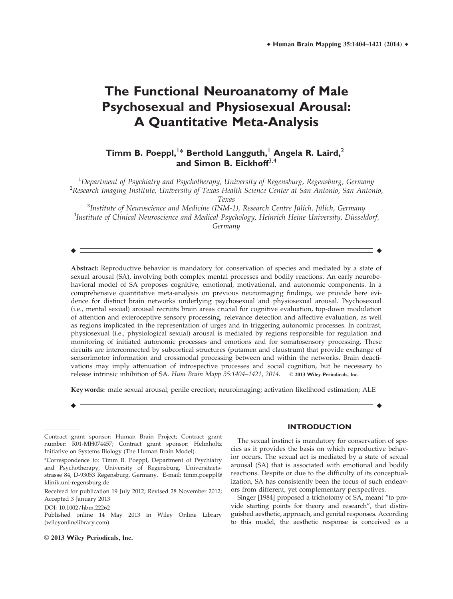# **The Functional Neuroanatomy of Male Psychosexual and Physiosexual Arousal: A Quantitative Meta-Analysis**

 $\textsf{Timm } \textsf{B}.$  Poeppl,  $\text{!}^*$  Berthold Langguth,  $\text{!}$  Angela R. Laird,  $\text{!}^2$ **and Simon B. Eickhoff**3,4

 $^1$ Department of Psychiatry and Psychotherapy, University of Regensburg, Regensburg, Germany <sup>2</sup>Research Imaging Institute, University of Texas Health Science Center at San Antonio, San Antonio, Texas

 $^3$ Institute of Neuroscience and Medicine (INM-1), Research Centre Jülich, Jülich, Germany <sup>4</sup>Institute of Clinical Neuroscience and Medical Psychology, Heinrich Heine University, Düsseldorf, Germany

r r

Abstract: Reproductive behavior is mandatory for conservation of species and mediated by a state of sexual arousal (SA), involving both complex mental processes and bodily reactions. An early neurobehavioral model of SA proposes cognitive, emotional, motivational, and autonomic components. In a comprehensive quantitative meta-analysis on previous neuroimaging findings, we provide here evidence for distinct brain networks underlying psychosexual and physiosexual arousal. Psychosexual (i.e., mental sexual) arousal recruits brain areas crucial for cognitive evaluation, top-down modulation of attention and exteroceptive sensory processing, relevance detection and affective evaluation, as well as regions implicated in the representation of urges and in triggering autonomic processes. In contrast, physiosexual (i.e., physiological sexual) arousal is mediated by regions responsible for regulation and monitoring of initiated autonomic processes and emotions and for somatosensory processing. These circuits are interconnected by subcortical structures (putamen and claustrum) that provide exchange of sensorimotor information and crossmodal processing between and within the networks. Brain deactivations may imply attenuation of introspective processes and social cognition, but be necessary to release intrinsic inhibition of SA. Hum Brain Mapp 35:1404-1421, 2014. © 2013 Wiley Periodicals, Inc.

Key words: male sexual arousal; penile erection; neuroimaging; activation likelihood estimation; ALE

r r

# **INTRODUCTION**

The sexual instinct is mandatory for conservation of species as it provides the basis on which reproductive behavior occurs. The sexual act is mediated by a state of sexual arousal (SA) that is associated with emotional and bodily reactions. Despite or due to the difficulty of its conceptualization, SA has consistently been the focus of such endeavors from different, yet complementary perspectives.

Singer [1984] proposed a trichotomy of SA, meant ''to provide starting points for theory and research'', that distinguished aesthetic, approach, and genital responses. According to this model, the aesthetic response is conceived as a

Contract grant sponsor: Human Brain Project; Contract grant number: R01-MH074457; Contract grant sponsor: Helmholtz Initiative on Systems Biology (The Human Brain Model).

<sup>\*</sup>Correspondence to: Timm B. Poeppl, Department of Psychiatry and Psychotherapy, University of Regensburg, Universitaetsstrasse 84, D-93053 Regensburg, Germany. E-mail: timm.poeppl@ klinik.uni-regensburg.de

Received for publication 19 July 2012; Revised 28 November 2012; Accepted 3 January 2013

DOI: 10.1002/hbm.22262

Published online 14 May 2013 in Wiley Online Library (wileyonlinelibrary.com).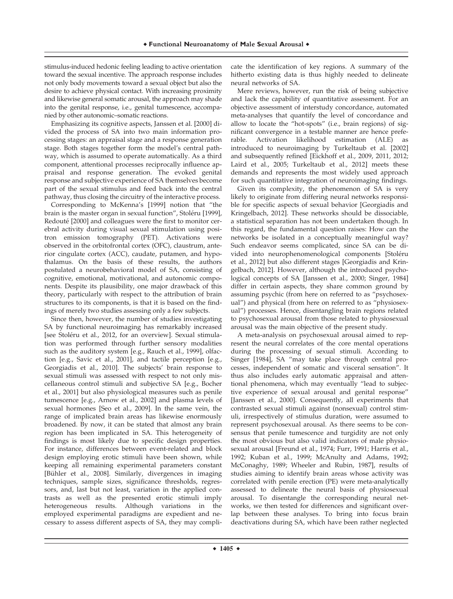stimulus-induced hedonic feeling leading to active orientation toward the sexual incentive. The approach response includes not only body movements toward a sexual object but also the desire to achieve physical contact. With increasing proximity and likewise general somatic arousal, the approach may shade into the genital response, i.e., genital tumescence, accompanied by other autonomic–somatic reactions.

Emphasizing its cognitive aspects, Janssen et al. [2000] divided the process of SA into two main information processing stages: an appraisal stage and a response generation stage. Both stages together form the model's central pathway, which is assumed to operate automatically. As a third component, attentional processes reciprocally influence appraisal and response generation. The evoked genital response and subjective experience of SA themselves become part of the sexual stimulus and feed back into the central pathway, thus closing the circuitry of the interactive process.

Corresponding to McKenna's [1999] notion that ''the brain is the master organ in sexual function", Stoléru [1999], Redouté [2000] and colleagues were the first to monitor cerebral activity during visual sexual stimulation using positron emission tomography (PET). Activations were observed in the orbitofrontal cortex (OFC), claustrum, anterior cingulate cortex (ACC), caudate, putamen, and hypothalamus. On the basis of these results, the authors postulated a neurobehavioral model of SA, consisting of cognitive, emotional, motivational, and autonomic components. Despite its plausibility, one major drawback of this theory, particularly with respect to the attribution of brain structures to its components, is that it is based on the findings of merely two studies assessing only a few subjects.

Since then, however, the number of studies investigating SA by functional neuroimaging has remarkably increased [see Stoléru et al., 2012, for an overview]. Sexual stimulation was performed through further sensory modalities such as the auditory system [e.g., Rauch et al., 1999], olfaction [e.g., Savic et al., 2001], and tactile perception [e.g., Georgiadis et al., 2010]. The subjects' brain response to sexual stimuli was assessed with respect to not only miscellaneous control stimuli and subjective SA [e.g., Bocher et al., 2001] but also physiological measures such as penile tumescence [e.g., Arnow et al., 2002] and plasma levels of sexual hormones [Seo et al., 2009]. In the same vein, the range of implicated brain areas has likewise enormously broadened. By now, it can be stated that almost any brain region has been implicated in SA. This heterogeneity of findings is most likely due to specific design properties. For instance, differences between event-related and block design employing erotic stimuli have been shown, while keeping all remaining experimental parameters constant [Bühler et al., 2008]. Similarly, divergences in imaging techniques, sample sizes, significance thresholds, regressors, and, last but not least, variation in the applied contrasts as well as the presented erotic stimuli imply heterogeneous results. Although variations in the employed experimental paradigms are expedient and necessary to assess different aspects of SA, they may complicate the identification of key regions. A summary of the hitherto existing data is thus highly needed to delineate neural networks of SA.

Mere reviews, however, run the risk of being subjective and lack the capability of quantitative assessment. For an objective assessment of interstudy concordance, automated meta-analyses that quantify the level of concordance and allow to locate the ''hot-spots'' (i.e., brain regions) of significant convergence in a testable manner are hence preferable. Activation likelihood estimation (ALE) as introduced to neuroimaging by Turkeltaub et al. [2002] and subsequently refined [Eickhoff et al., 2009, 2011, 2012; Laird et al., 2005; Turkeltaub et al., 2012] meets these demands and represents the most widely used approach for such quantitative integration of neuroimaging findings.

Given its complexity, the phenomenon of SA is very likely to originate from differing neural networks responsible for specific aspects of sexual behavior [Georgiadis and Kringelbach, 2012]. These networks should be dissociable, a statistical separation has not been undertaken though. In this regard, the fundamental question raises: How can the networks be isolated in a conceptually meaningful way? Such endeavor seems complicated, since SA can be divided into neurophenomenological components [Stoléru et al., 2012] but also different stages [Georgiadis and Kringelbach, 2012]. However, although the introduced psychological concepts of SA [Janssen et al., 2000; Singer, 1984] differ in certain aspects, they share common ground by assuming psychic (from here on referred to as ''psychosexual'') and physical (from here on referred to as ''physiosexual'') processes. Hence, disentangling brain regions related to psychosexual arousal from those related to physiosexual arousal was the main objective of the present study.

A meta-analysis on psychosexual arousal aimed to represent the neural correlates of the core mental operations during the processing of sexual stimuli. According to Singer [1984], SA ''may take place through central processes, independent of somatic and visceral sensation''. It thus also includes early automatic appraisal and attentional phenomena, which may eventually ''lead to subjective experience of sexual arousal and genital response'' [Janssen et al., 2000]. Consequently, all experiments that contrasted sexual stimuli against (nonsexual) control stimuli, irrespectively of stimulus duration, were assumed to represent psychosexual arousal. As there seems to be consensus that penile tumescence and turgidity are not only the most obvious but also valid indicators of male physiosexual arousal [Freund et al., 1974; Furr, 1991; Harris et al., 1992; Kuban et al., 1999; McAnulty and Adams, 1992; McConaghy, 1989; Wheeler and Rubin, 1987], results of studies aiming to identify brain areas whose activity was correlated with penile erection (PE) were meta-analytically assessed to delineate the neural basis of physiosexual arousal. To disentangle the corresponding neural networks, we then tested for differences and significant overlap between these analyses. To bring into focus brain deactivations during SA, which have been rather neglected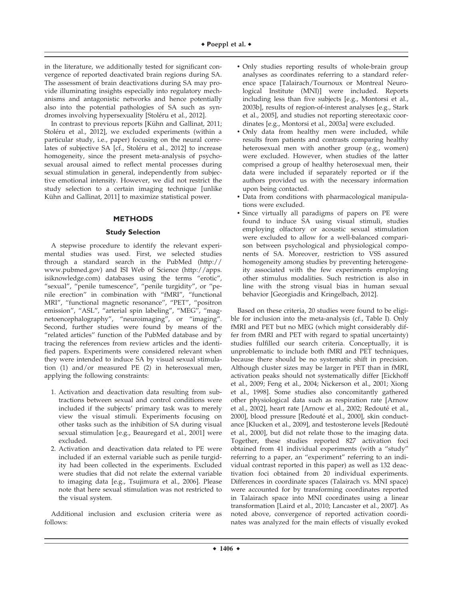in the literature, we additionally tested for significant convergence of reported deactivated brain regions during SA. The assessment of brain deactivations during SA may provide illuminating insights especially into regulatory mechanisms and antagonistic networks and hence potentially also into the potential pathologies of SA such as syndromes involving hypersexuality [Stoléru et al., 2012].

In contrast to previous reports [Kühn and Gallinat, 2011; Stoléru et al., 2012], we excluded experiments (within a particular study, i.e., paper) focusing on the neural correlates of subjective SA [cf., Stoléru et al., 2012] to increase homogeneity, since the present meta-analysis of psychosexual arousal aimed to reflect mental processes during sexual stimulation in general, independently from subjective emotional intensity. However, we did not restrict the study selection to a certain imaging technique [unlike Kühn and Gallinat, 2011] to maximize statistical power.

## **METHODS**

## **Study Selection**

A stepwise procedure to identify the relevant experimental studies was used. First, we selected studies through a standard search in the PubMed (http:// www.pubmed.gov) and ISI Web of Science (http://apps. isiknowledge.com) databases using the terms ''erotic'', "sexual", "penile tumescence", "penile turgidity", or "penile erection'' in combination with ''fMRI'', ''functional MRI'', ''functional magnetic resonance'', ''PET'', ''positron emission", "ASL", "arterial spin labeling", "MEG", "magnetoencephalography'', ''neuroimaging'', or ''imaging''. Second, further studies were found by means of the ''related articles'' function of the PubMed database and by tracing the references from review articles and the identified papers. Experiments were considered relevant when they were intended to induce SA by visual sexual stimulation (1) and/or measured PE (2) in heterosexual men, applying the following constraints:

- 1. Activation and deactivation data resulting from subtractions between sexual and control conditions were included if the subjects' primary task was to merely view the visual stimuli. Experiments focusing on other tasks such as the inhibition of SA during visual sexual stimulation [e.g., Beauregard et al., 2001] were excluded.
- 2. Activation and deactivation data related to PE were included if an external variable such as penile turgidity had been collected in the experiments. Excluded were studies that did not relate the external variable to imaging data [e.g., Tsujimura et al., 2006]. Please note that here sexual stimulation was not restricted to the visual system.

Additional inclusion and exclusion criteria were as follows:

- Only studies reporting results of whole-brain group analyses as coordinates referring to a standard reference space [Talairach/Tournoux or Montreal Neurological Institute (MNI)] were included. Reports including less than five subjects [e.g., Montorsi et al., 2003b], results of region-of-interest analyses [e.g., Stark et al., 2005], and studies not reporting stereotaxic coordinates [e.g., Montorsi et al., 2003a] were excluded.
- Only data from healthy men were included, while results from patients and contrasts comparing healthy heterosexual men with another group (e.g., women) were excluded. However, when studies of the latter comprised a group of healthy heterosexual men, their data were included if separately reported or if the authors provided us with the necessary information upon being contacted.
- Data from conditions with pharmacological manipulations were excluded.
- Since virtually all paradigms of papers on PE were found to induce SA using visual stimuli, studies employing olfactory or acoustic sexual stimulation were excluded to allow for a well-balanced comparison between psychological and physiological components of SA. Moreover, restriction to VSS assured homogeneity among studies by preventing heterogeneity associated with the few experiments employing other stimulus modalities. Such restriction is also in line with the strong visual bias in human sexual behavior [Georgiadis and Kringelbach, 2012].

Based on these criteria, 20 studies were found to be eligible for inclusion into the meta-analysis (cf., Table I). Only fMRI and PET but no MEG (which might considerably differ from fMRI and PET with regard to spatial uncertainty) studies fulfilled our search criteria. Conceptually, it is unproblematic to include both fMRI and PET techniques, because there should be no systematic shift in precision. Although cluster sizes may be larger in PET than in fMRI, activation peaks should not systematically differ [Eickhoff et al., 2009; Feng et al., 2004; Nickerson et al., 2001; Xiong et al., 1998]. Some studies also concomitantly gathered other physiological data such as respiration rate [Arnow et al., 2002], heart rate [Arnow et al., 2002; Redouté et al., 2000], blood pressure [Redouté et al., 2000], skin conductance [Klucken et al., 2009], and testosterone levels [Redouté et al., 2000], but did not relate those to the imaging data. Together, these studies reported 827 activation foci obtained from 41 individual experiments (with a ''study'' referring to a paper, an ''experiment'' referring to an individual contrast reported in this paper) as well as 132 deactivation foci obtained from 20 individual experiments. Differences in coordinate spaces (Talairach vs. MNI space) were accounted for by transforming coordinates reported in Talairach space into MNI coordinates using a linear transformation [Laird et al., 2010; Lancaster et al., 2007]. As noted above, convergence of reported activation coordinates was analyzed for the main effects of visually evoked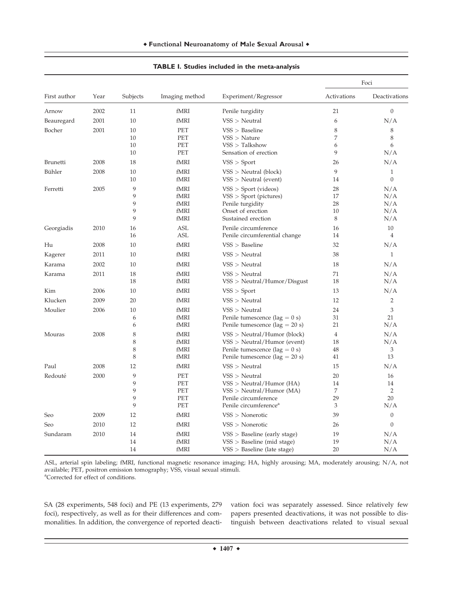|              |      | Subjects | Imaging method    |                                                                | Foci           |                |  |
|--------------|------|----------|-------------------|----------------------------------------------------------------|----------------|----------------|--|
| First author | Year |          |                   | Experiment/Regressor                                           | Activations    | Deactivations  |  |
| Arnow        | 2002 | 11       | fMRI              | Penile turgidity                                               | 21             | $\theta$       |  |
| Beauregard   | 2001 | 10       | fMRI              | $VSS$ > Neutral                                                | 6              | N/A            |  |
| Bocher       | 2001 | 10       | <b>PET</b>        | $VSS$ > Baseline                                               | 8              | 8              |  |
|              |      | 10       | <b>PET</b>        | $VSS$ > Nature                                                 | 7              | 8              |  |
|              |      | 10       | <b>PET</b>        | $VSS$ > Talkshow                                               | 6              | 6              |  |
|              |      | 10       | PET               | Sensation of erection                                          | 9              | N/A            |  |
| Brunetti     | 2008 | 18       | fMRI              | $VSS$ > Sport                                                  | 26             | N/A            |  |
| Bühler       | 2008 | 10       | fMRI              | $VSS$ > Neutral (block)                                        | $\overline{Q}$ | $\mathbf{1}$   |  |
|              |      | 10       | fMRI              | $VSS$ > Neutral (event)                                        | 14             | $\theta$       |  |
| Ferretti     | 2005 | 9        | fMRI              | $VSS$ > Sport (videos)                                         | 28             | N/A            |  |
|              |      | 9<br>9   | fMRI<br>fMRI      | $VSS$ > Sport (pictures)<br>Penile turgidity                   | 17<br>28       | N/A<br>N/A     |  |
|              |      | 9        | fMRI              | Onset of erection                                              | 10             | N/A            |  |
|              |      | 9        | fMRI              | Sustained erection                                             | 8              | N/A            |  |
| Georgiadis   | 2010 | 16       | <b>ASL</b>        | Penile circumference                                           | 16             | 10             |  |
|              |      | 16       | ASL               | Penile circumferential change                                  | 14             | $\overline{4}$ |  |
| Hu           | 2008 | 10       | fMRI              | $VSS$ > Baseline                                               | 32             | N/A            |  |
| Kagerer      | 2011 | 10       | fMRI              | $VSS$ > Neutral                                                | 38             | $\mathbf{1}$   |  |
| Karama       | 2002 | 10       | fMRI              | $VSS$ > Neutral                                                | 18             | N/A            |  |
| Karama       | 2011 | 18       | fMRI              | $VSS$ > Neutral                                                | 71             | N/A            |  |
|              |      | 18       | fMRI              | $VSS$ > Neutral/Humor/Disgust                                  | 18             | N/A            |  |
| Kim          | 2006 | 10       | fMRI              | $VSS$ > Sport                                                  | 13             | N/A            |  |
| Klucken      | 2009 | 20       | fMRI              | $VSS$ > Neutral                                                | 12             | $\overline{2}$ |  |
| Moulier      | 2006 | 10       | fMRI              | $VSS$ > Neutral                                                | 24             | 3              |  |
|              |      | 6        | fMRI              | Penile tumescence (lag = $0 s$ )                               | 31             | 21             |  |
|              |      | 6        | fMRI              | Penile tumescence (lag = $20 s$ )                              | 21             | N/A            |  |
| Mouras       | 2008 | 8        | fMRI              | $VSS$ > Neutral/Humor (block)                                  | $\,4\,$        | N/A            |  |
|              |      | 8        | fMRI              | $VSS$ > Neutral/Humor (event)                                  | 18             | N/A            |  |
|              |      | 8        | fMRI              | Penile tumescence (lag = $0 s$ )                               | 48             | 3              |  |
|              |      | 8        | fMRI              | Penile tumescence (lag = $20 s$ )                              | 41             | 13             |  |
| Paul         | 2008 | 12       | fMRI              | $VSS$ > Neutral                                                | 15             | N/A            |  |
| Redouté      | 2000 | 9        | <b>PET</b>        | $VSS$ > Neutral                                                | 20             | 16             |  |
|              |      | 9        | PET               | $VSS$ > Neutral/Humor (HA)                                     | 14             | 14             |  |
|              |      | 9<br>9   | <b>PET</b><br>PET | $VSS$ > Neutral/Humor (MA)<br>Penile circumference             | 7<br>29        | 2<br>20        |  |
|              |      | 9        | PET               | Penile circumference <sup>a</sup>                              | 3              | N/A            |  |
| Seo          | 2009 | 12       | fMRI              | $VSS$ > Nonerotic                                              | 39             | $\theta$       |  |
| Seo          | 2010 | 12       | fMRI              | $VSS$ > Nonerotic                                              | 26             | $\theta$       |  |
| Sundaram     | 2010 | 14       | fMRI              |                                                                | 19             | N/A            |  |
|              |      | 14       | fMRI              | $VSS$ > Baseline (early stage)<br>$VSS$ > Baseline (mid stage) | 19             | N/A            |  |
|              |      | 14       | fMRI              | $VSS$ > Baseline (late stage)                                  | 20             | N/A            |  |

## **TABLE I. Studies included in the meta-analysis**

ASL, arterial spin labeling; fMRI, functional magnetic resonance imaging; HA, highly arousing; MA, moderately arousing; N/A, not available; PET, positron emission tomography; VSS, visual sexual stimuli. a Corrected for effect of conditions.

SA (28 experiments, 548 foci) and PE (13 experiments, 279 foci), respectively, as well as for their differences and commonalities. In addition, the convergence of reported deactivation foci was separately assessed. Since relatively few papers presented deactivations, it was not possible to distinguish between deactivations related to visual sexual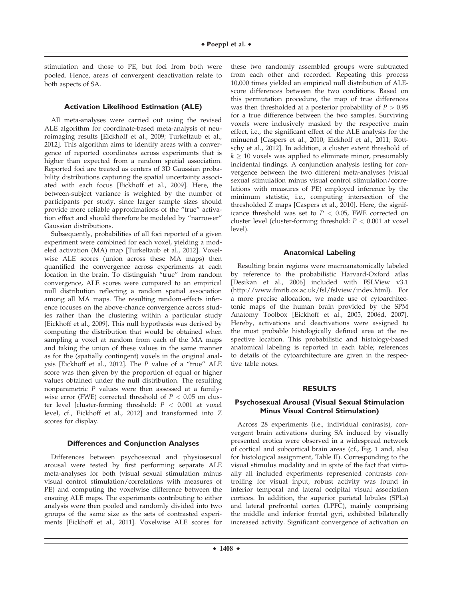stimulation and those to PE, but foci from both were pooled. Hence, areas of convergent deactivation relate to both aspects of SA.

#### **Activation Likelihood Estimation (ALE)**

All meta-analyses were carried out using the revised ALE algorithm for coordinate-based meta-analysis of neuroimaging results [Eickhoff et al., 2009; Turkeltaub et al., 2012]. This algorithm aims to identify areas with a convergence of reported coordinates across experiments that is higher than expected from a random spatial association. Reported foci are treated as centers of 3D Gaussian probability distributions capturing the spatial uncertainty associated with each focus [Eickhoff et al., 2009]. Here, the between-subject variance is weighted by the number of participants per study, since larger sample sizes should provide more reliable approximations of the "true" activation effect and should therefore be modeled by ''narrower'' Gaussian distributions.

Subsequently, probabilities of all foci reported of a given experiment were combined for each voxel, yielding a modeled activation (MA) map [Turkeltaub et al., 2012]. Voxelwise ALE scores (union across these MA maps) then quantified the convergence across experiments at each location in the brain. To distinguish ''true'' from random convergence, ALE scores were compared to an empirical null distribution reflecting a random spatial association among all MA maps. The resulting random-effects inference focuses on the above-chance convergence across studies rather than the clustering within a particular study [Eickhoff et al., 2009]. This null hypothesis was derived by computing the distribution that would be obtained when sampling a voxel at random from each of the MA maps and taking the union of these values in the same manner as for the (spatially contingent) voxels in the original analysis [Eickhoff et al., 2012]. The P value of a "true" ALE score was then given by the proportion of equal or higher values obtained under the null distribution. The resulting nonparametric P values were then assessed at a familywise error (FWE) corrected threshold of  $P < 0.05$  on cluster level [cluster-forming threshold:  $P < 0.001$  at voxel level, cf., Eickhoff et al., 2012] and transformed into Z scores for display.

#### **Differences and Conjunction Analyses**

Differences between psychosexual and physiosexual arousal were tested by first performing separate ALE meta-analyses for both (visual sexual stimulation minus visual control stimulation/correlations with measures of PE) and computing the voxelwise difference between the ensuing ALE maps. The experiments contributing to either analysis were then pooled and randomly divided into two groups of the same size as the sets of contrasted experiments [Eickhoff et al., 2011]. Voxelwise ALE scores for

these two randomly assembled groups were subtracted from each other and recorded. Repeating this process 10,000 times yielded an empirical null distribution of ALEscore differences between the two conditions. Based on this permutation procedure, the map of true differences was then thresholded at a posterior probability of  $P > 0.95$ for a true difference between the two samples. Surviving voxels were inclusively masked by the respective main effect, i.e., the significant effect of the ALE analysis for the minuend [Caspers et al., 2010; Eickhoff et al., 2011; Rottschy et al., 2012]. In addition, a cluster extent threshold of  $k \geq 10$  voxels was applied to eliminate minor, presumably incidental findings. A conjunction analysis testing for convergence between the two different meta-analyses (visual sexual stimulation minus visual control stimulation/correlations with measures of PE) employed inference by the minimum statistic, i.e., computing intersection of the thresholded Z maps [Caspers et al., 2010]. Here, the significance threshold was set to  $P < 0.05$ , FWE corrected on cluster level (cluster-forming threshold:  $P < 0.001$  at voxel level).

#### **Anatomical Labeling**

Resulting brain regions were macroanatomically labeled by reference to the probabilistic Harvard-Oxford atlas [Desikan et al., 2006] included with FSLView v3.1 (http://www.fmrib.ox.ac.uk/fsl/fslview/index.html). For a more precise allocation, we made use of cytoarchitectonic maps of the human brain provided by the SPM Anatomy Toolbox [Eickhoff et al., 2005, 2006d, 2007]. Hereby, activations and deactivations were assigned to the most probable histologically defined area at the respective location. This probabilistic and histology-based anatomical labeling is reported in each table; references to details of the cytoarchitecture are given in the respective table notes.

#### **RESULTS**

# **Psychosexual Arousal (Visual Sexual Stimulation Minus Visual Control Stimulation)**

Across 28 experiments (i.e., individual contrasts), convergent brain activations during SA induced by visually presented erotica were observed in a widespread network of cortical and subcortical brain areas (cf., Fig. 1 and, also for histological assignment, Table II). Corresponding to the visual stimulus modality and in spite of the fact that virtually all included experiments represented contrasts controlling for visual input, robust activity was found in inferior temporal and lateral occipital visual association cortices. In addition, the superior parietal lobules (SPLs) and lateral prefrontal cortex (LPFC), mainly comprising the middle and inferior frontal gyri, exhibited bilaterally increased activity. Significant convergence of activation on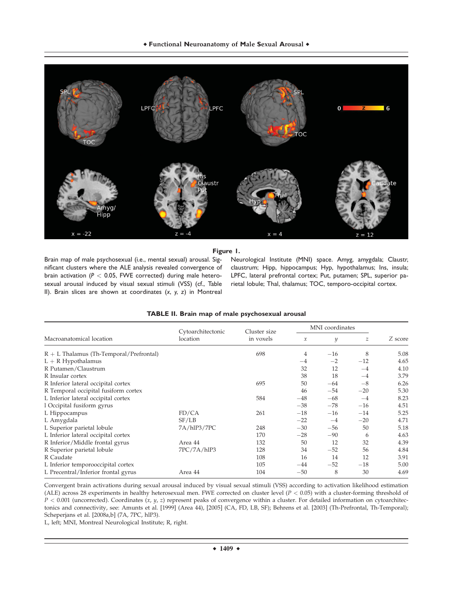

#### **Figure 1.**

Brain map of male psychosexual (i.e., mental sexual) arousal. Significant clusters where the ALE analysis revealed convergence of brain activation (*P* < 0.05, FWE corrected) during male heterosexual arousal induced by visual sexual stimuli (VSS) (cf., Table II). Brain slices are shown at coordinates (*x*, *y*, *z*) in Montreal Neurological Institute (MNI) space. Amyg, amygdala; Claustr, claustrum; Hipp, hippocampus; Hyp, hypothalamus; Ins, insula; LPFC, lateral prefrontal cortex; Put, putamen; SPL, superior parietal lobule; Thal, thalamus; TOC, temporo-occipital cortex.

## **TABLE II. Brain map of male psychosexual arousal**

|                                           | Cytoarchitectonic | Cluster size | MNI coordinates |               |       |         |  |
|-------------------------------------------|-------------------|--------------|-----------------|---------------|-------|---------|--|
| Macroanatomical location                  | location          | in voxels    | $\mathcal{X}$   | $\mathcal{Y}$ | z     | Z score |  |
| $R + L$ Thalamus (Th-Temporal/Prefrontal) |                   | 698          | 4               | $-16$         | 8     | 5.08    |  |
| $L + R$ Hypothalamus                      |                   |              | $-4$            | $-2$          | $-12$ | 4.65    |  |
| R Putamen/Claustrum                       |                   |              | 32              | 12            | $-4$  | 4.10    |  |
| R Insular cortex                          |                   |              | 38              | 18            | $-4$  | 3.79    |  |
| R Inferior lateral occipital cortex       |                   | 695          | 50              | $-64$         | $-8$  | 6.26    |  |
| R Temporal occipital fusiform cortex      |                   |              | 46              | $-54$         | $-20$ | 5.30    |  |
| L Inferior lateral occipital cortex       |                   | 584          | $-48$           | $-68$         | $-4$  | 8.23    |  |
| 1 Occipital fusiform gyrus                |                   |              | $-38$           | $-78$         | $-16$ | 4.51    |  |
| L Hippocampus                             | FD/CA             | 261          | $-18$           | $-16$         | $-14$ | 5.25    |  |
| L Amygdala                                | SF/LB             |              | $-22$           | $-4$          | $-20$ | 4.71    |  |
| L Superior parietal lobule                | 7A/hlP3/7PC       | 248          | $-30$           | $-56$         | 50    | 5.18    |  |
| L Inferior lateral occipital cortex       |                   | 170          | $-28$           | $-90$         | 6     | 4.63    |  |
| R Inferior/Middle frontal gyrus           | Area 44           | 132          | 50              | 12            | 32    | 4.39    |  |
| R Superior parietal lobule                | 7PC/7A/hlP3       | 128          | 34              | $-52$         | 56    | 4.84    |  |
| R Caudate                                 |                   | 108          | 16              | 14            | 12    | 3.91    |  |
| L Inferior temporooccipital cortex        |                   | 105          | $-44$           | $-52$         | $-18$ | 5.00    |  |
| L Precentral/Inferior frontal gyrus       | Area 44           | 104          | $-50$           | 8             | 30    | 4.69    |  |

Convergent brain activations during sexual arousal induced by visual sexual stimuli (VSS) according to activation likelihood estimation (ALE) across 28 experiments in healthy heterosexual men. FWE corrected on cluster level  $(P < 0.05)$  with a cluster-forming threshold of  $P < 0.001$  (uncorrected). Coordinates (x, y, z) represent peaks of convergence within a cluster. For detailed information on cytoarchitectonics and connectivity, see: Amunts et al. [1999] (Area 44), [2005] (CA, FD, LB, SF); Behrens et al. [2003] (Th-Prefrontal, Th-Temporal); Scheperjans et al. [2008a,b] (7A, 7PC, hlP3).

L, left; MNI, Montreal Neurological Institute; R, right.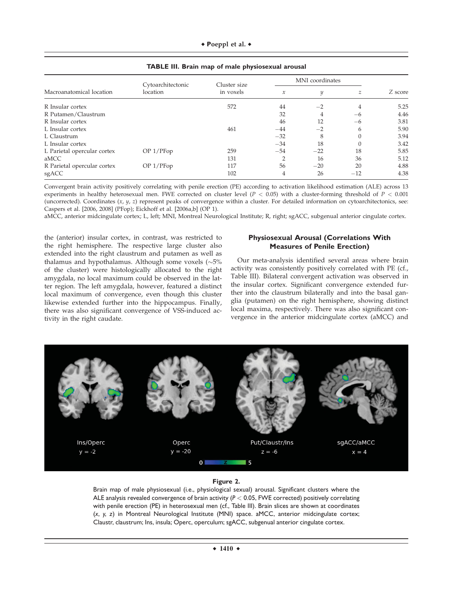|                             | Cytoarchitectonic | Cluster size<br>in voxels | MNI coordinates |       |               |         |
|-----------------------------|-------------------|---------------------------|-----------------|-------|---------------|---------|
| Macroanatomical location    | location          |                           | $\mathcal{X}$   | y     | $\mathcal{Z}$ | Z score |
| R Insular cortex            |                   | 572                       | 44              | $-2$  | 4             | 5.25    |
| R Putamen/Claustrum         |                   |                           | 32              | 4     | $-6$          | 4.46    |
| R Insular cortex            |                   |                           | 46              | 12    | $-6$          | 3.81    |
| L Insular cortex            |                   | 461                       | $-44$           | $-2$  | 6             | 5.90    |
| L Claustrum                 |                   |                           | $-32$           | 8     | $\Omega$      | 3.94    |
| L Insular cortex            |                   |                           | $-34$           | 18    | $\Omega$      | 3.42    |
| L Parietal opercular cortex | OP 1/PFop         | 259                       | $-54$           | $-22$ | 18            | 5.85    |
| aMCC                        |                   | 131                       | 2               | 16    | 36            | 5.12    |
| R Parietal opercular cortex | OP 1/PFop         | 117                       | 56              | $-20$ | 20            | 4.88    |
| sgACC                       |                   | 102                       | 4               | 26    | $-12$         | 4.38    |

| <b>TABLE III. Brain map of male physiosexual arousal</b> |  |
|----------------------------------------------------------|--|
|----------------------------------------------------------|--|

Convergent brain activity positively correlating with penile erection (PE) according to activation likelihood estimation (ALE) across 13 experiments in healthy heterosexual men. FWE corrected on cluster level ( $P < 0.05$ ) with a cluster-forming threshold of  $P < 0.001$ (uncorrected). Coordinates  $(x, y, z)$  represent peaks of convergence within a cluster. For detailed information on cytoarchitectonics, see: Caspers et al. [2006, 2008] (PFop); Eickhoff et al. [2006a,b] (OP 1).

aMCC, anterior midcingulate cortex; L, left; MNI, Montreal Neurological Institute; R, right; sgACC, subgenual anterior cingulate cortex.

the (anterior) insular cortex, in contrast, was restricted to the right hemisphere. The respective large cluster also extended into the right claustrum and putamen as well as thalamus and hypothalamus. Although some voxels  $(\sim 5\%$ of the cluster) were histologically allocated to the right amygdala, no local maximum could be observed in the latter region. The left amygdala, however, featured a distinct local maximum of convergence, even though this cluster likewise extended further into the hippocampus. Finally, there was also significant convergence of VSS-induced activity in the right caudate.

## **Physiosexual Arousal (Correlations With Measures of Penile Erection)**

Our meta-analysis identified several areas where brain activity was consistently positively correlated with PE (cf., Table III). Bilateral convergent activation was observed in the insular cortex. Significant convergence extended further into the claustrum bilaterally and into the basal ganglia (putamen) on the right hemisphere, showing distinct local maxima, respectively. There was also significant convergence in the anterior midcingulate cortex (aMCC) and



## **Figure 2.**

Brain map of male physiosexual (i.e., physiological sexual) arousal. Significant clusters where the ALE analysis revealed convergence of brain activity (*P* < 0.05, FWE corrected) positively correlating with penile erection (PE) in heterosexual men (cf., Table III). Brain slices are shown at coordinates (*x*, *y*, *z*) in Montreal Neurological Institute (MNI) space. aMCC, anterior midcingulate cortex; Claustr, claustrum; Ins, insula; Operc, operculum; sgACC, subgenual anterior cingulate cortex.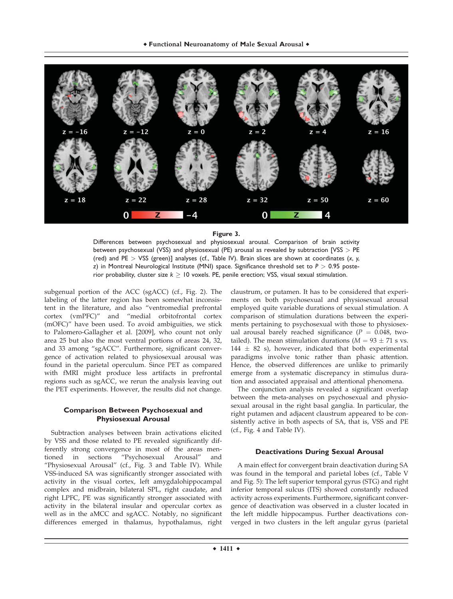

#### **Figure 3.**

Differences between psychosexual and physiosexual arousal. Comparison of brain activity between psychosexual (VSS) and physiosexual (PE) arousal as revealed by subtraction [VSS > PE (red) and PE > VSS (green)] analyses (cf., Table IV). Brain slices are shown at coordinates (*x*, *y*, *z*) in Montreal Neurological Institute (MNI) space. Significance threshold set to *P* > 0.95 posterior probability, cluster size  $k \ge 10$  voxels. PE, penile erection; VSS, visual sexual stimulation.

subgenual portion of the ACC (sgACC) (cf., Fig. 2). The labeling of the latter region has been somewhat inconsistent in the literature, and also ''ventromedial prefrontal cortex (vmPFC)'' and ''medial orbitofrontal cortex (mOFC)'' have been used. To avoid ambiguities, we stick to Palomero-Gallagher et al. [2009], who count not only area 25 but also the most ventral portions of areas 24, 32, and 33 among "sgACC". Furthermore, significant convergence of activation related to physiosexual arousal was found in the parietal operculum. Since PET as compared with fMRI might produce less artifacts in prefrontal regions such as sgACC, we rerun the analysis leaving out the PET experiments. However, the results did not change.

## **Comparison Between Psychosexual and Physiosexual Arousal**

Subtraction analyses between brain activations elicited by VSS and those related to PE revealed significantly differently strong convergence in most of the areas mentioned in sections ''Psychosexual Arousal'' and "Physiosexual Arousal" (cf., Fig. 3 and Table IV). While VSS-induced SA was significantly stronger associated with activity in the visual cortex, left amygdalohippocampal complex and midbrain, bilateral SPL, right caudate, and right LPFC, PE was significantly stronger associated with activity in the bilateral insular and opercular cortex as well as in the aMCC and sgACC. Notably, no significant differences emerged in thalamus, hypothalamus, right claustrum, or putamen. It has to be considered that experiments on both psychosexual and physiosexual arousal employed quite variable durations of sexual stimulation. A comparison of stimulation durations between the experiments pertaining to psychosexual with those to physiosexual arousal barely reached significance ( $P = 0.048$ , twotailed). The mean stimulation durations ( $M = 93 \pm 71$  s vs.  $144 \pm 82$  s), however, indicated that both experimental paradigms involve tonic rather than phasic attention. Hence, the observed differences are unlike to primarily emerge from a systematic discrepancy in stimulus duration and associated appraisal and attentional phenomena.

The conjunction analysis revealed a significant overlap between the meta-analyses on psychosexual and physiosexual arousal in the right basal ganglia. In particular, the right putamen and adjacent claustrum appeared to be consistently active in both aspects of SA, that is, VSS and PE (cf., Fig. 4 and Table IV).

#### **Deactivations During Sexual Arousal**

A main effect for convergent brain deactivation during SA was found in the temporal and parietal lobes (cf., Table V and Fig. 5): The left superior temporal gyrus (STG) and right inferior temporal sulcus (ITS) showed constantly reduced activity across experiments. Furthermore, significant convergence of deactivation was observed in a cluster located in the left middle hippocampus. Further deactivations converged in two clusters in the left angular gyrus (parietal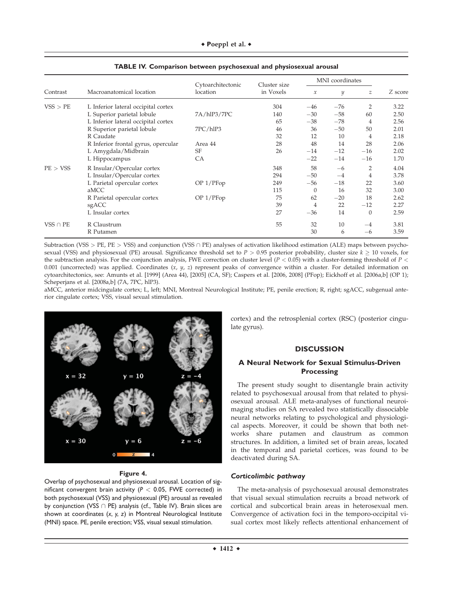|               |                                     | Cytoarchitectonic | Cluster size | MNI coordinates     |       |                  |         |
|---------------|-------------------------------------|-------------------|--------------|---------------------|-------|------------------|---------|
| Contrast      | Macroanatomical location            | location          | in Voxels    | $\boldsymbol{\chi}$ | y     | $\boldsymbol{z}$ | Z score |
| VSS > PE      | L Inferior lateral occipital cortex |                   | 304          | $-46$               | $-76$ | 2                | 3.22    |
|               | L Superior parietal lobule          | 7A/hlP3/7PC       | 140          | $-30$               | $-58$ | 60               | 2.50    |
|               | L Inferior lateral occipital cortex |                   | 65           | $-38$               | $-78$ | 4                | 2.56    |
|               | R Superior parietal lobule          | 7PC/hlP3          | 46           | 36                  | $-50$ | 50               | 2.01    |
|               | R Caudate                           |                   | 32           | 12                  | 10    | 4                | 2.18    |
|               | R Inferior frontal gyrus, opercular | Area 44           | 28           | 48                  | 14    | 28               | 2.06    |
|               | L Amygdala/Midbrain                 | <b>SF</b>         | 26           | $-14$               | $-12$ | $-16$            | 2.02    |
|               | L Hippocampus                       | <b>CA</b>         |              | $-22$               | $-14$ | $-16$            | 1.70    |
| PE > VSS      | R Insular/Opercular cortex          |                   | 348          | 58                  | -6    | $\overline{2}$   | 4.04    |
|               | L Insular/Opercular cortex          |                   | 294          | $-50$               | $-4$  | 4                | 3.78    |
|               | L Parietal opercular cortex         | OP 1/PFop         | 249          | $-56$               | $-18$ | 22               | 3.60    |
|               | aMCC                                |                   | 115          | $\theta$            | 16    | 32               | 3.00    |
|               | R Parietal opercular cortex         | OP 1/PFop         | 75           | 62                  | $-20$ | 18               | 2.62    |
|               | sgACC                               |                   | 39           | 4                   | 22    | $-12$            | 2.27    |
|               | L Insular cortex                    |                   | 27           | $-36$               | 14    | $\theta$         | 2.59    |
| $VSS \cap PE$ | R Claustrum                         |                   | 55           | 32                  | 10    | $-4$             | 3.81    |
|               | R Putamen                           |                   |              | 30                  | 6     | $-6$             | 3.59    |

**TABLE IV. Comparison between psychosexual and physiosexual arousal**

Subtraction (VSS  $>$  PE, PE  $>$  VSS) and conjunction (VSS  $\cap$  PE) analyses of activation likelihood estimation (ALE) maps between psychosexual (VSS) and physiosexual (PE) arousal. Significance threshold set to  $P > 0.95$  posterior probability, cluster size  $k \ge 10$  voxels, for the subtraction analysis. For the conjunction analysis, FWE correction on cluster level ( $P < 0.05$ ) with a cluster-forming threshold of  $P <$ 0.001 (uncorrected) was applied. Coordinates  $(x, y, z)$  represent peaks of convergence within a cluster. For detailed information on cytoarchitectonics, see: Amunts et al. [1999] (Area 44), [2005] (CA, SF); Caspers et al. [2006, 2008] (PFop); Eickhoff et al. [2006a,b] (OP 1); Scheperjans et al. [2008a,b] (7A, 7PC, hlP3).

aMCC, anterior midcingulate cortex; L, left; MNI, Montreal Neurological Institute; PE, penile erection; R, right; sgACC, subgenual anterior cingulate cortex; VSS, visual sexual stimulation.



## **Figure 4.**

Overlap of psychosexual and physiosexual arousal. Location of significant convergent brain activity (*P* < 0.05, FWE corrected) in both psychosexual (VSS) and physiosexual (PE) arousal as revealed by conjunction (VSS  $\cap$  PE) analysis (cf., Table IV). Brain slices are shown at coordinates (*x*, *y*, *z*) in Montreal Neurological Institute (MNI) space. PE, penile erection; VSS, visual sexual stimulation.

cortex) and the retrosplenial cortex (RSC) (posterior cingulate gyrus).

## **DISCUSSION**

## **A Neural Network for Sexual Stimulus-Driven Processing**

The present study sought to disentangle brain activity related to psychosexual arousal from that related to physiosexual arousal. ALE meta-analyses of functional neuroimaging studies on SA revealed two statistically dissociable neural networks relating to psychological and physiological aspects. Moreover, it could be shown that both networks share putamen and claustrum as common structures. In addition, a limited set of brain areas, located in the temporal and parietal cortices, was found to be deactivated during SA.

#### Corticolimbic pathway

The meta-analysis of psychosexual arousal demonstrates that visual sexual stimulation recruits a broad network of cortical and subcortical brain areas in heterosexual men. Convergence of activation foci in the temporo-occipital visual cortex most likely reflects attentional enhancement of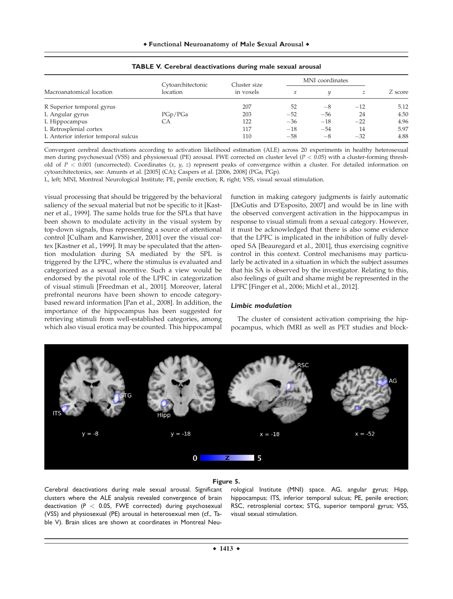|                                     | Cytoarchitectonic | Cluster size |               | MNI coordinates |       |         |
|-------------------------------------|-------------------|--------------|---------------|-----------------|-------|---------|
| Macroanatomical location            | location          | in voxels    | $\mathcal{X}$ |                 | z     | Z score |
| R Superior temporal gyrus           |                   | 207          | 52            | $-8$            | $-12$ | 5.12    |
| L Angular gyrus                     | PGp/PGa           | 203          | $-52$         | $-56$           | 24    | 4.50    |
| L Hippocampus                       | СA                | 122          | $-36$         | $-18$           | $-22$ | 4.96    |
| L Retrosplenial cortex              |                   | 117          | $-18$         | $-54$           | 14    | 5.97    |
| L Anterior inferior temporal sulcus |                   | 110          | $-58$         | $-8$            | $-32$ | 4.88    |

|  |  | TABLE V. Cerebral deactivations during male sexual arousal |  |  |  |  |
|--|--|------------------------------------------------------------|--|--|--|--|
|--|--|------------------------------------------------------------|--|--|--|--|

Convergent cerebral deactivations according to activation likelihood estimation (ALE) across 20 experiments in healthy heterosexual men during psychosexual (VSS) and physiosexual (PE) arousal. FWE corrected on cluster level ( $P < 0.05$ ) with a cluster-forming threshold of  $P < 0.001$  (uncorrected). Coordinates  $(x, y, z)$  represent peaks of convergence within a cluster. For detailed information on cytoarchitectonics, see: Amunts et al. [2005] (CA); Caspers et al. [2006, 2008] (PGa, PGp).

L, left; MNI, Montreal Neurological Institute; PE, penile erection; R, right; VSS, visual sexual stimulation.

visual processing that should be triggered by the behavioral saliency of the sexual material but not be specific to it [Kastner et al., 1999]. The same holds true for the SPLs that have been shown to modulate activity in the visual system by top-down signals, thus representing a source of attentional control [Culham and Kanwisher, 2001] over the visual cortex [Kastner et al., 1999]. It may be speculated that the attention modulation during SA mediated by the SPL is triggered by the LPFC, where the stimulus is evaluated and categorized as a sexual incentive. Such a view would be endorsed by the pivotal role of the LPFC in categorization of visual stimuli [Freedman et al., 2001]. Moreover, lateral prefrontal neurons have been shown to encode categorybased reward information [Pan et al., 2008]. In addition, the importance of the hippocampus has been suggested for retrieving stimuli from well-established categories, among which also visual erotica may be counted. This hippocampal function in making category judgments is fairly automatic [DeGutis and D'Esposito, 2007] and would be in line with the observed convergent activation in the hippocampus in response to visual stimuli from a sexual category. However, it must be acknowledged that there is also some evidence that the LPFC is implicated in the inhibition of fully developed SA [Beauregard et al., 2001], thus exercising cognitive control in this context. Control mechanisms may particularly be activated in a situation in which the subject assumes that his SA is observed by the investigator. Relating to this, also feelings of guilt and shame might be represented in the LPFC [Finger et al., 2006; Michl et al., 2012].

#### Limbic modulation

The cluster of consistent activation comprising the hippocampus, which fMRI as well as PET studies and block-



#### **Figure 5.**

Cerebral deactivations during male sexual arousal. Significant clusters where the ALE analysis revealed convergence of brain deactivation (*P* < 0.05, FWE corrected) during psychosexual (VSS) and physiosexual (PE) arousal in heterosexual men (cf., Table V). Brain slices are shown at coordinates in Montreal Neurological Institute (MNI) space. AG, angular gyrus; Hipp, hippocampus; ITS, inferior temporal sulcus; PE, penile erection; RSC, retrosplenial cortex; STG, superior temporal gyrus; VSS, visual sexual stimulation.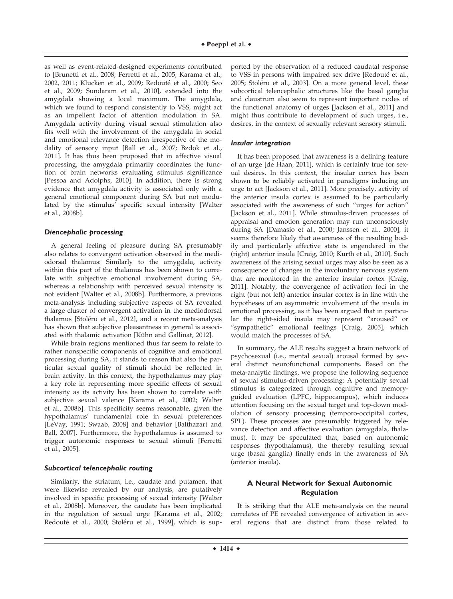as well as event-related-designed experiments contributed to [Brunetti et al., 2008; Ferretti et al., 2005; Karama et al., 2002, 2011; Klucken et al., 2009; Redouté et al., 2000; Seo et al., 2009; Sundaram et al., 2010], extended into the amygdala showing a local maximum. The amygdala, which we found to respond consistently to VSS, might act as an impellent factor of attention modulation in SA. Amygdala activity during visual sexual stimulation also fits well with the involvement of the amygdala in social and emotional relevance detection irrespective of the modality of sensory input [Ball et al., 2007; Bzdok et al., 2011]. It has thus been proposed that in affective visual processing, the amygdala primarily coordinates the function of brain networks evaluating stimulus significance [Pessoa and Adolphs, 2010]. In addition, there is strong evidence that amygdala activity is associated only with a general emotional component during SA but not modulated by the stimulus' specific sexual intensity [Walter et al., 2008b].

## Diencephalic processing

A general feeling of pleasure during SA presumably also relates to convergent activation observed in the mediodorsal thalamus: Similarly to the amygdala, activity within this part of the thalamus has been shown to correlate with subjective emotional involvement during SA, whereas a relationship with perceived sexual intensity is not evident [Walter et al., 2008b]. Furthermore, a previous meta-analysis including subjective aspects of SA revealed a large cluster of convergent activation in the mediodorsal thalamus [Stoléru et al., 2012], and a recent meta-analysis has shown that subjective pleasantness in general is associated with thalamic activation [Kühn and Gallinat, 2012].

While brain regions mentioned thus far seem to relate to rather nonspecific components of cognitive and emotional processing during SA, it stands to reason that also the particular sexual quality of stimuli should be reflected in brain activity. In this context, the hypothalamus may play a key role in representing more specific effects of sexual intensity as its activity has been shown to correlate with subjective sexual valence [Karama et al., 2002; Walter et al., 2008b]. This specificity seems reasonable, given the hypothalamus' fundamental role in sexual preferences [LeVay, 1991; Swaab, 2008] and behavior [Balthazart and Ball, 2007]. Furthermore, the hypothalamus is assumed to trigger autonomic responses to sexual stimuli [Ferretti et al., 2005].

#### Subcortical telencephalic routing

Similarly, the striatum, i.e., caudate and putamen, that were likewise revealed by our analysis, are putatively involved in specific processing of sexual intensity [Walter et al., 2008b]. Moreover, the caudate has been implicated in the regulation of sexual urge [Karama et al., 2002; Redouté et al., 2000; Stoléru et al., 1999], which is supported by the observation of a reduced caudatal response to VSS in persons with impaired sex drive [Redouté et al., 2005; Stoléru et al., 2003]. On a more general level, these subcortical telencephalic structures like the basal ganglia and claustrum also seem to represent important nodes of the functional anatomy of urges [Jackson et al., 2011] and might thus contribute to development of such urges, i.e., desires, in the context of sexually relevant sensory stimuli.

## Insular integration

It has been proposed that awareness is a defining feature of an urge [de Haan, 2011], which is certainly true for sexual desires. In this context, the insular cortex has been shown to be reliably activated in paradigms inducing an urge to act [Jackson et al., 2011]. More precisely, activity of the anterior insula cortex is assumed to be particularly associated with the awareness of such ''urges for action'' [Jackson et al., 2011]. While stimulus-driven processes of appraisal and emotion generation may run unconsciously during SA [Damasio et al., 2000; Janssen et al., 2000], it seems therefore likely that awareness of the resulting bodily and particularly affective state is engendered in the (right) anterior insula [Craig, 2010; Kurth et al., 2010]. Such awareness of the arising sexual urges may also be seen as a consequence of changes in the involuntary nervous system that are monitored in the anterior insular cortex [Craig, 2011]. Notably, the convergence of activation foci in the right (but not left) anterior insular cortex is in line with the hypotheses of an asymmetric involvement of the insula in emotional processing, as it has been argued that in particular the right-sided insula may represent ''aroused'' or "sympathetic" emotional feelings [Craig, 2005], which would match the processes of SA.

In summary, the ALE results suggest a brain network of psychosexual (i.e., mental sexual) arousal formed by several distinct neurofunctional components. Based on the meta-analytic findings, we propose the following sequence of sexual stimulus-driven processing: A potentially sexual stimulus is categorized through cognitive and memoryguided evaluation (LPFC, hippocampus), which induces attention focusing on the sexual target and top-down modulation of sensory processing (temporo-occipital cortex, SPL). These processes are presumably triggered by relevance detection and affective evaluation (amygdala, thalamus). It may be speculated that, based on autonomic responses (hypothalamus), the thereby resulting sexual urge (basal ganglia) finally ends in the awareness of SA (anterior insula).

# **A Neural Network for Sexual Autonomic Regulation**

It is striking that the ALE meta-analysis on the neural correlates of PE revealed convergence of activation in several regions that are distinct from those related to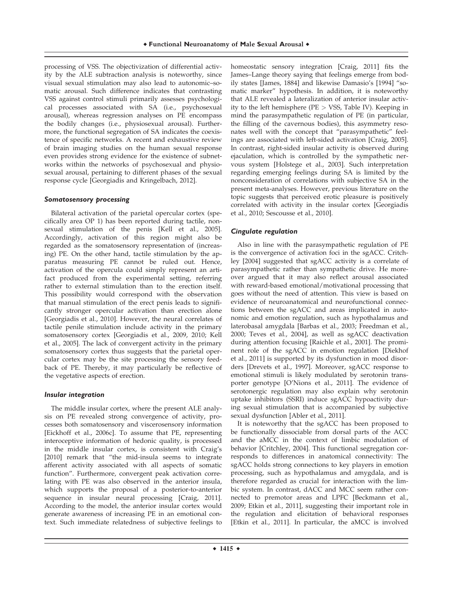processing of VSS. The objectivization of differential activity by the ALE subtraction analysis is noteworthy, since visual sexual stimulation may also lead to autonomic–somatic arousal. Such difference indicates that contrasting VSS against control stimuli primarily assesses psychological processes associated with SA (i.e., psychosexual arousal), whereas regression analyses on PE encompass the bodily changes (i.e., physiosexual arousal). Furthermore, the functional segregation of SA indicates the coexistence of specific networks. A recent and exhaustive review of brain imaging studies on the human sexual response even provides strong evidence for the existence of subnetworks within the networks of psychosexual and physiosexual arousal, pertaining to different phases of the sexual response cycle [Georgiadis and Kringelbach, 2012].

## Somatosensory processing

Bilateral activation of the parietal opercular cortex (specifically area OP 1) has been reported during tactile, nonsexual stimulation of the penis [Kell et al., 2005]. Accordingly, activation of this region might also be regarded as the somatosensory representation of (increasing) PE. On the other hand, tactile stimulation by the apparatus measuring PE cannot be ruled out. Hence, activation of the opercula could simply represent an artifact produced from the experimental setting, referring rather to external stimulation than to the erection itself. This possibility would correspond with the observation that manual stimulation of the erect penis leads to significantly stronger opercular activation than erection alone [Georgiadis et al., 2010]. However, the neural correlates of tactile penile stimulation include activity in the primary somatosensory cortex [Georgiadis et al., 2009, 2010; Kell et al., 2005]. The lack of convergent activity in the primary somatosensory cortex thus suggests that the parietal opercular cortex may be the site processing the sensory feedback of PE. Thereby, it may particularly be reflective of the vegetative aspects of erection.

#### Insular integration

The middle insular cortex, where the present ALE analysis on PE revealed strong convergence of activity, processes both somatosensory and viscerosensory information [Eickhoff et al., 2006c]. To assume that PE, representing interoceptive information of hedonic quality, is processed in the middle insular cortex, is consistent with Craig's [2010] remark that "the mid-insula seems to integrate afferent activity associated with all aspects of somatic function''. Furthermore, convergent peak activation correlating with PE was also observed in the anterior insula, which supports the proposal of a posterior-to-anterior sequence in insular neural processing [Craig, 2011]. According to the model, the anterior insular cortex would generate awareness of increasing PE in an emotional context. Such immediate relatedness of subjective feelings to

homeostatic sensory integration [Craig, 2011] fits the James–Lange theory saying that feelings emerge from bodily states [James, 1884] and likewise Damasio's [1994] ''somatic marker'' hypothesis. In addition, it is noteworthy that ALE revealed a lateralization of anterior insular activity to the left hemisphere ( $PE > VSS$ , Table IV). Keeping in mind the parasympathetic regulation of PE (in particular, the filling of the cavernous bodies), this asymmetry resonates well with the concept that ''parasympathetic'' feelings are associated with left-sided activation [Craig, 2005]. In contrast, right-sided insular activity is observed during ejaculation, which is controlled by the sympathetic nervous system [Holstege et al., 2003]. Such interpretation regarding emerging feelings during SA is limited by the nonconsideration of correlations with subjective SA in the present meta-analyses. However, previous literature on the topic suggests that perceived erotic pleasure is positively correlated with activity in the insular cortex [Georgiadis et al., 2010; Sescousse et al., 2010].

#### Cingulate regulation

Also in line with the parasympathetic regulation of PE is the convergence of activation foci in the sgACC. Critchley [2004] suggested that sgACC activity is a correlate of parasympathetic rather than sympathetic drive. He moreover argued that it may also reflect arousal associated with reward-based emotional/motivational processing that goes without the need of attention. This view is based on evidence of neuroanatomical and neurofunctional connections between the sgACC and areas implicated in autonomic and emotion regulation, such as hypothalamus and laterobasal amygdala [Barbas et al., 2003; Freedman et al., 2000; Teves et al., 2004], as well as sgACC deactivation during attention focusing [Raichle et al., 2001]. The prominent role of the sgACC in emotion regulation [Diekhof et al., 2011] is supported by its dysfunction in mood disorders [Drevets et al., 1997]. Moreover, sgACC response to emotional stimuli is likely modulated by serotonin transporter genotype [O'Nions et al., 2011]. The evidence of serotonergic regulation may also explain why serotonin uptake inhibitors (SSRI) induce sgACC hypoactivity during sexual stimulation that is accompanied by subjective sexual dysfunction [Abler et al., 2011].

It is noteworthy that the sgACC has been proposed to be functionally dissociable from dorsal parts of the ACC and the aMCC in the context of limbic modulation of behavior [Critchley, 2004]. This functional segregation corresponds to differences in anatomical connectivity: The sgACC holds strong connections to key players in emotion processing, such as hypothalamus and amygdala, and is therefore regarded as crucial for interaction with the limbic system. In contrast, dACC and MCC seem rather connected to premotor areas and LPFC [Beckmann et al., 2009; Etkin et al., 2011], suggesting their important role in the regulation and elicitation of behavioral responses [Etkin et al., 2011]. In particular, the aMCC is involved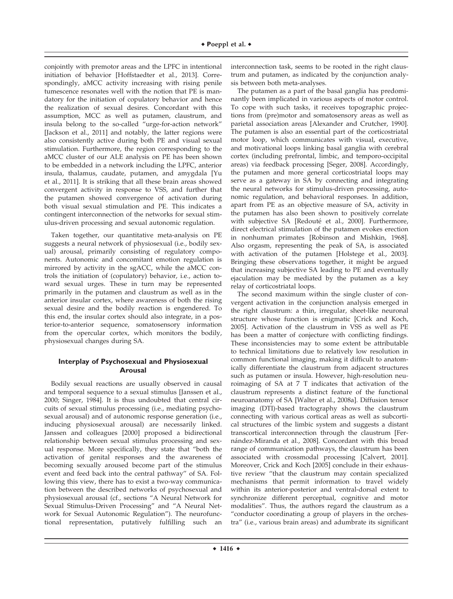conjointly with premotor areas and the LPFC in intentional initiation of behavior [Hoffstaedter et al., 2013]. Correspondingly, aMCC activity increasing with rising penile tumescence resonates well with the notion that PE is mandatory for the initiation of copulatory behavior and hence the realization of sexual desires. Concordant with this assumption, MCC as well as putamen, claustrum, and insula belong to the so-called ''urge-for-action network'' [Jackson et al., 2011] and notably, the latter regions were also consistently active during both PE and visual sexual stimulation. Furthermore, the region corresponding to the aMCC cluster of our ALE analysis on PE has been shown to be embedded in a network including the LPFC, anterior insula, thalamus, caudate, putamen, and amygdala [Yu et al., 2011]. It is striking that all these brain areas showed convergent activity in response to VSS, and further that the putamen showed convergence of activation during both visual sexual stimulation and PE. This indicates a contingent interconnection of the networks for sexual stimulus-driven processing and sexual autonomic regulation.

Taken together, our quantitative meta-analysis on PE suggests a neural network of physiosexual (i.e., bodily sexual) arousal, primarily consisting of regulatory components. Autonomic and concomitant emotion regulation is mirrored by activity in the sgACC, while the aMCC controls the initiation of (copulatory) behavior, i.e., action toward sexual urges. These in turn may be represented primarily in the putamen and claustrum as well as in the anterior insular cortex, where awareness of both the rising sexual desire and the bodily reaction is engendered. To this end, the insular cortex should also integrate, in a posterior-to-anterior sequence, somatosensory information from the opercular cortex, which monitors the bodily, physiosexual changes during SA.

# **Interplay of Psychosexual and Physiosexual Arousal**

Bodily sexual reactions are usually observed in causal and temporal sequence to a sexual stimulus [Janssen et al., 2000; Singer, 1984]. It is thus undoubted that central circuits of sexual stimulus processing (i.e., mediating psychosexual arousal) and of autonomic response generation (i.e., inducing physiosexual arousal) are necessarily linked. Janssen and colleagues [2000] proposed a bidirectional relationship between sexual stimulus processing and sexual response. More specifically, they state that ''both the activation of genital responses and the awareness of becoming sexually aroused become part of the stimulus event and feed back into the central pathway'' of SA. Following this view, there has to exist a two-way communication between the described networks of psychosexual and physiosexual arousal (cf., sections ''A Neural Network for Sexual Stimulus-Driven Processing'' and ''A Neural Network for Sexual Autonomic Regulation''). The neurofunctional representation, putatively fulfilling such an

interconnection task, seems to be rooted in the right claustrum and putamen, as indicated by the conjunction analysis between both meta-analyses.

The putamen as a part of the basal ganglia has predominantly been implicated in various aspects of motor control. To cope with such tasks, it receives topographic projections from (pre)motor and somatosensory areas as well as parietal association areas [Alexander and Crutcher, 1990]. The putamen is also an essential part of the corticostriatal motor loop, which communicates with visual, executive, and motivational loops linking basal ganglia with cerebral cortex (including prefrontal, limbic, and temporo-occipital areas) via feedback processing [Seger, 2008]. Accordingly, the putamen and more general corticostriatal loops may serve as a gateway in SA by connecting and integrating the neural networks for stimulus-driven processing, autonomic regulation, and behavioral responses. In addition, apart from PE as an objective measure of SA, activity in the putamen has also been shown to positively correlate with subjective SA [Redouté et al., 2000]. Furthermore, direct electrical stimulation of the putamen evokes erection in nonhuman primates [Robinson and Mishkin, 1968]. Also orgasm, representing the peak of SA, is associated with activation of the putamen [Holstege et al., 2003]. Bringing these observations together, it might be argued that increasing subjective SA leading to PE and eventually ejaculation may be mediated by the putamen as a key relay of corticostriatal loops.

The second maximum within the single cluster of convergent activation in the conjunction analysis emerged in the right claustrum: a thin, irregular, sheet-like neuronal structure whose function is enigmatic [Crick and Koch, 2005]. Activation of the claustrum in VSS as well as PE has been a matter of conjecture with conflicting findings. These inconsistencies may to some extent be attributable to technical limitations due to relatively low resolution in common functional imaging, making it difficult to anatomically differentiate the claustrum from adjacent structures such as putamen or insula. However, high-resolution neuroimaging of SA at 7 T indicates that activation of the claustrum represents a distinct feature of the functional neuroanatomy of SA [Walter et al., 2008a]. Diffusion tensor imaging (DTI)-based tractography shows the claustrum connecting with various cortical areas as well as subcortical structures of the limbic system and suggests a distant transcortical interconnection through the claustrum [Fernández-Miranda et al., 2008]. Concordant with this broad range of communication pathways, the claustrum has been associated with crossmodal processing [Calvert, 2001]. Moreover, Crick and Koch [2005] conclude in their exhaustive review ''that the claustrum may contain specialized mechanisms that permit information to travel widely within its anterior-posterior and ventral-dorsal extent to synchronize different perceptual, cognitive and motor modalities''. Thus, the authors regard the claustrum as a ''conductor coordinating a group of players in the orchestra'' (i.e., various brain areas) and adumbrate its significant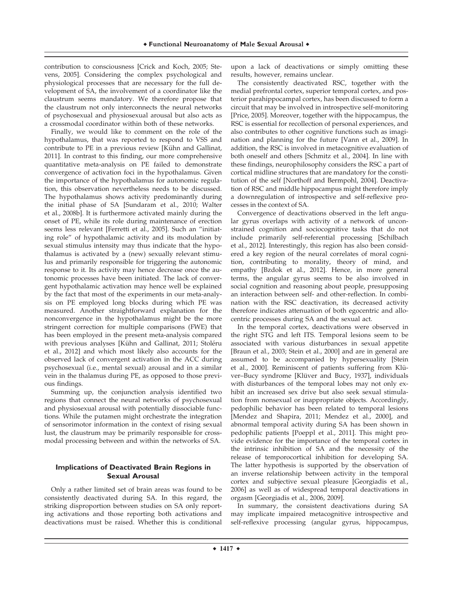contribution to consciousness [Crick and Koch, 2005; Stevens, 2005]. Considering the complex psychological and physiological processes that are necessary for the full development of SA, the involvement of a coordinator like the claustrum seems mandatory. We therefore propose that the claustrum not only interconnects the neural networks of psychosexual and physiosexual arousal but also acts as a crossmodal coordinator within both of these networks.

Finally, we would like to comment on the role of the hypothalamus, that was reported to respond to VSS and contribute to PE in a previous review [Kühn and Gallinat, 2011]. In contrast to this finding, our more comprehensive quantitative meta-analysis on PE failed to demonstrate convergence of activation foci in the hypothalamus. Given the importance of the hypothalamus for autonomic regulation, this observation nevertheless needs to be discussed. The hypothalamus shows activity predominantly during the initial phase of SA [Sundaram et al., 2010; Walter et al., 2008b]. It is furthermore activated mainly during the onset of PE, while its role during maintenance of erection seems less relevant [Ferretti et al., 2005]. Such an ''initiating role'' of hypothalamic activity and its modulation by sexual stimulus intensity may thus indicate that the hypothalamus is activated by a (new) sexually relevant stimulus and primarily responsible for triggering the autonomic response to it. Its activity may hence decrease once the autonomic processes have been initiated. The lack of convergent hypothalamic activation may hence well be explained by the fact that most of the experiments in our meta-analysis on PE employed long blocks during which PE was measured. Another straightforward explanation for the nonconvergence in the hypothalamus might be the more stringent correction for multiple comparisons (FWE) that has been employed in the present meta-analysis compared with previous analyses [Kühn and Gallinat, 2011; Stoléru et al., 2012] and which most likely also accounts for the observed lack of convergent activation in the ACC during psychosexual (i.e., mental sexual) arousal and in a similar vein in the thalamus during PE, as opposed to those previous findings.

Summing up, the conjunction analysis identified two regions that connect the neural networks of psychosexual and physiosexual arousal with potentially dissociable functions. While the putamen might orchestrate the integration of sensorimotor information in the context of rising sexual lust, the claustrum may be primarily responsible for crossmodal processing between and within the networks of SA.

## **Implications of Deactivated Brain Regions in Sexual Arousal**

Only a rather limited set of brain areas was found to be consistently deactivated during SA. In this regard, the striking disproportion between studies on SA only reporting activations and those reporting both activations and deactivations must be raised. Whether this is conditional

upon a lack of deactivations or simply omitting these results, however, remains unclear.

The consistently deactivated RSC, together with the medial prefrontal cortex, superior temporal cortex, and posterior parahippocampal cortex, has been discussed to form a circuit that may be involved in introspective self-monitoring [Price, 2005]. Moreover, together with the hippocampus, the RSC is essential for recollection of personal experiences, and also contributes to other cognitive functions such as imagination and planning for the future [Vann et al., 2009]. In addition, the RSC is involved in metacognitive evaluation of both oneself and others [Schmitz et al., 2004]. In line with these findings, neurophilosophy considers the RSC a part of cortical midline structures that are mandatory for the constitution of the self [Northoff and Bermpohl, 2004]. Deactivation of RSC and middle hippocampus might therefore imply a downregulation of introspective and self-reflexive processes in the context of SA.

Convergence of deactivations observed in the left angular gyrus overlaps with activity of a network of unconstrained cognition and sociocognitive tasks that do not include primarily self-referential processing [Schilbach et al., 2012]. Interestingly, this region has also been considered a key region of the neural correlates of moral cognition, contributing to morality, theory of mind, and empathy [Bzdok et al., 2012]. Hence, in more general terms, the angular gyrus seems to be also involved in social cognition and reasoning about people, presupposing an interaction between self- and other-reflection. In combination with the RSC deactivation, its decreased activity therefore indicates attenuation of both egocentric and allocentric processes during SA and the sexual act.

In the temporal cortex, deactivations were observed in the right STG and left ITS. Temporal lesions seem to be associated with various disturbances in sexual appetite [Braun et al., 2003; Stein et al., 2000] and are in general are assumed to be accompanied by hypersexuality [Stein et al., 2000]. Reminiscent of patients suffering from Klüver–Bucy syndrome [Klüver and Bucy, 1937], individuals with disturbances of the temporal lobes may not only exhibit an increased sex drive but also seek sexual stimulation from nonsexual or inappropriate objects. Accordingly, pedophilic behavior has been related to temporal lesions [Mendez and Shapira, 2011; Mendez et al., 2000], and abnormal temporal activity during SA has been shown in pedophilic patients [Poeppl et al., 2011]. This might provide evidence for the importance of the temporal cortex in the intrinsic inhibition of SA and the necessity of the release of temporocortical inhibition for developing SA. The latter hypothesis is supported by the observation of an inverse relationship between activity in the temporal cortex and subjective sexual pleasure [Georgiadis et al., 2006] as well as of widespread temporal deactivations in orgasm [Georgiadis et al., 2006, 2009].

In summary, the consistent deactivations during SA may implicate impaired metacognitive introspective and self-reflexive processing (angular gyrus, hippocampus,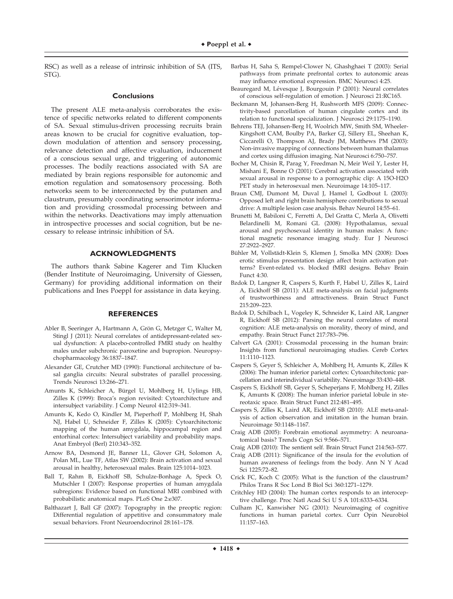RSC) as well as a release of intrinsic inhibition of SA (ITS, STG).

#### **Conclusions**

The present ALE meta-analysis corroborates the existence of specific networks related to different components of SA. Sexual stimulus-driven processing recruits brain areas known to be crucial for cognitive evaluation, topdown modulation of attention and sensory processing, relevance detection and affective evaluation, inducement of a conscious sexual urge, and triggering of autonomic processes. The bodily reactions associated with SA are mediated by brain regions responsible for autonomic and emotion regulation and somatosensory processing. Both networks seem to be interconnected by the putamen and claustrum, presumably coordinating sensorimotor information and providing crossmodal processing between and within the networks. Deactivations may imply attenuation in introspective processes and social cognition, but be necessary to release intrinsic inhibition of SA.

## **ACKNOWLEDGMENTS**

The authors thank Sabine Kagerer and Tim Klucken (Bender Institute of Neuroimaging, University of Giessen, Germany) for providing additional information on their publications and Ines Poeppl for assistance in data keying.

#### **REFERENCES**

- Abler B, Seeringer A, Hartmann A, Grön G, Metzger C, Walter M, Stingl J (2011): Neural correlates of antidepressant-related sexual dysfunction: A placebo-controlled FMRI study on healthy males under subchronic paroxetine and bupropion. Neuropsychopharmacology 36:1837–1847.
- Alexander GE, Crutcher MD (1990): Functional architecture of basal ganglia circuits: Neural substrates of parallel processing. Trends Neurosci 13:266–271.
- Amunts K, Schleicher A, Bürgel U, Mohlberg H, Uylings HB, Zilles K (1999): Broca's region revisited: Cytoarchitecture and intersubject variability. J Comp Neurol 412:319–341.
- Amunts K, Kedo O, Kindler M, Pieperhoff P, Mohlberg H, Shah NJ, Habel U, Schneider F, Zilles K (2005): Cytoarchitectonic mapping of the human amygdala, hippocampal region and entorhinal cortex: Intersubject variability and probability maps. Anat Embryol (Berl) 210:343–352.
- Arnow BA, Desmond JE, Banner LL, Glover GH, Solomon A, Polan ML, Lue TF, Atlas SW (2002): Brain activation and sexual arousal in healthy, heterosexual males. Brain 125:1014–1023.
- Ball T, Rahm B, Eickhoff SB, Schulze-Bonhage A, Speck O, Mutschler I (2007): Response properties of human amygdala subregions: Evidence based on functional MRI combined with probabilistic anatomical maps. PLoS One 2:e307.
- Balthazart J, Ball GF (2007): Topography in the preoptic region: Differential regulation of appetitive and consummatory male sexual behaviors. Front Neuroendocrinol 28:161–178.
- Barbas H, Saha S, Rempel-Clower N, Ghashghaei T (2003): Serial pathways from primate prefrontal cortex to autonomic areas may influence emotional expression. BMC Neurosci 4:25.
- Beauregard M, Lévesque J, Bourgouin P (2001): Neural correlates of conscious self-regulation of emotion. J Neurosci 21:RC165.
- Beckmann M, Johansen-Berg H, Rushworth MFS (2009): Connectivity-based parcellation of human cingulate cortex and its relation to functional specialization. J Neurosci 29:1175–1190.
- Behrens TEJ, Johansen-Berg H, Woolrich MW, Smith SM, Wheeler-Kingshott CAM, Boulby PA, Barker GJ, Sillery EL, Sheehan K, Ciccarelli O, Thompson AJ, Brady JM, Matthews PM (2003): Non-invasive mapping of connections between human thalamus and cortex using diffusion imaging. Nat Neurosci 6:750–757.
- Bocher M, Chisin R, Parag Y, Freedman N, Meir Weil Y, Lester H, Mishani E, Bonne O (2001): Cerebral activation associated with sexual arousal in response to a pornographic clip: A 15O-H2O PET study in heterosexual men. Neuroimage 14:105–117.
- Braun CMJ, Dumont M, Duval J, Hamel I, Godbout L (2003): Opposed left and right brain hemisphere contributions to sexual drive: A multiple lesion case analysis. Behav Neurol 14:55–61.
- Brunetti M, Babiloni C, Ferretti A, Del Gratta C, Merla A, Olivetti Belardinelli M, Romani GL (2008): Hypothalamus, sexual arousal and psychosexual identity in human males: A functional magnetic resonance imaging study. Eur J Neurosci 27:2922–2927.
- Bühler M, Vollstädt-Klein S, Klemen J, Smolka MN (2008): Does erotic stimulus presentation design affect brain activation patterns? Event-related vs. blocked fMRI designs. Behav Brain Funct 4:30.
- Bzdok D, Langner R, Caspers S, Kurth F, Habel U, Zilles K, Laird A, Eickhoff SB (2011): ALE meta-analysis on facial judgments of trustworthiness and attractiveness. Brain Struct Funct 215:209–223.
- Bzdok D, Schilbach L, Vogeley K, Schneider K, Laird AR, Langner R, Eickhoff SB (2012): Parsing the neural correlates of moral cognition: ALE meta-analysis on morality, theory of mind, and empathy. Brain Struct Funct 217:783–796.
- Calvert GA (2001): Crossmodal processing in the human brain: Insights from functional neuroimaging studies. Cereb Cortex 11:1110–1123.
- Caspers S, Geyer S, Schleicher A, Mohlberg H, Amunts K, Zilles K (2006): The human inferior parietal cortex: Cytoarchitectonic parcellation and interindividual variability. Neuroimage 33:430–448.
- Caspers S, Eickhoff SB, Geyer S, Scheperjans F, Mohlberg H, Zilles K, Amunts K (2008): The human inferior parietal lobule in stereotaxic space. Brain Struct Funct 212:481–495.
- Caspers S, Zilles K, Laird AR, Eickhoff SB (2010): ALE meta-analysis of action observation and imitation in the human brain. Neuroimage 50:1148–1167.
- Craig ADB (2005): Forebrain emotional asymmetry: A neuroanatomical basis? Trends Cogn Sci 9:566–571.
- Craig ADB (2010): The sentient self. Brain Struct Funct 214:563–577.
- Craig ADB (2011): Significance of the insula for the evolution of human awareness of feelings from the body. Ann N Y Acad Sci 1225:72–82.
- Crick FC, Koch C (2005): What is the function of the claustrum? Philos Trans R Soc Lond B Biol Sci 360:1271–1279.
- Critchley HD (2004): The human cortex responds to an interoceptive challenge. Proc Natl Acad Sci U S A 101:6333–6334.
- Culham JC, Kanwisher NG (2001): Neuroimaging of cognitive functions in human parietal cortex. Curr Opin Neurobiol 11:157–163.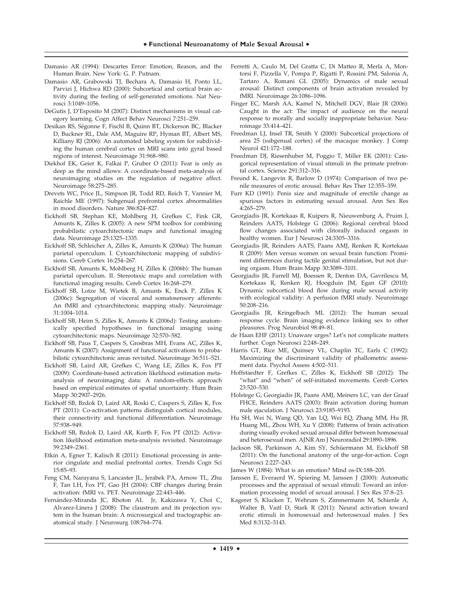- Damasio AR (1994): Descartes Error: Emotion, Reason, and the Human Brain. New York: G. P. Putnam.
- Damasio AR, Grabowski TJ, Bechara A, Damasio H, Ponto LL, Parvizi J, Hichwa RD (2000): Subcortical and cortical brain activity during the feeling of self-generated emotions. Nat Neurosci 3:1049–1056.
- DeGutis J, D'Esposito M (2007): Distinct mechanisms in visual category learning. Cogn Affect Behav Neurosci 7:251–259.
- Desikan RS, Ségonne F, Fischl B, Quinn BT, Dickerson BC, Blacker D, Buckner RL, Dale AM, Maguire RP, Hyman BT, Albert MS, Killiany RJ (2006): An automated labeling system for subdividing the human cerebral cortex on MRI scans into gyral based regions of interest. Neuroimage 31:968–980.
- Diekhof EK, Geier K, Falkai P, Gruber O (2011): Fear is only as deep as the mind allows: A coordinate-based meta-analysis of neuroimaging studies on the regulation of negative affect. Neuroimage 58:275–285.
- Drevets WC, Price JL, Simpson JR, Todd RD, Reich T, Vannier M, Raichle ME (1997): Subgenual prefrontal cortex abnormalities in mood disorders. Nature 386:824–827.
- Eickhoff SB, Stephan KE, Mohlberg H, Grefkes C, Fink GR, Amunts K, Zilles K (2005): A new SPM toolbox for combining probabilistic cytoarchitectonic maps and functional imaging data. Neuroimage 25:1325–1335.
- Eickhoff SB, Schleicher A, Zilles K, Amunts K (2006a): The human parietal operculum. I. Cytoarchitectonic mapping of subdivisions. Cereb Cortex 16:254–267.
- Eickhoff SB, Amunts K, Mohlberg H, Zilles K (2006b): The human parietal operculum. II. Stereotaxic maps and correlation with functional imaging results. Cereb Cortex 16:268–279.
- Eickhoff SB, Lotze M, Wietek B, Amunts K, Enck P, Zilles K (2006c): Segregation of visceral and somatosensory afferents: An fMRI and cytoarchitectonic mapping study. Neuroimage 31:1004–1014.
- Eickhoff SB, Heim S, Zilles K, Amunts K (2006d): Testing anatomically specified hypotheses in functional imaging using cytoarchitectonic maps. Neuroimage 32:570–582.
- Eickhoff SB, Paus T, Caspers S, Grosbras MH, Evans AC, Zilles K, Amunts K (2007): Assignment of functional activations to probabilistic cytoarchitectonic areas revisited. Neuroimage 36:511–521.
- Eickhoff SB, Laird AR, Grefkes C, Wang LE, Zilles K, Fox PT (2009): Coordinate-based activation likelihood estimation metaanalysis of neuroimaging data: A random-effects approach based on empirical estimates of spatial uncertainty. Hum Brain Mapp 30:2907–2926.
- Eickhoff SB, Bzdok D, Laird AR, Roski C, Caspers S, Zilles K, Fox PT (2011): Co-activation patterns distinguish cortical modules, their connectivity and functional differentiation. Neuroimage 57:938–949.
- Eickhoff SB, Bzdok D, Laird AR, Kurth F, Fox PT (2012): Activation likelihood estimation meta-analysis revisited. Neuroimage 59:2349–2361.
- Etkin A, Egner T, Kalisch R (2011): Emotional processing in anterior cingulate and medial prefrontal cortex. Trends Cogn Sci 15:85–93.
- Feng CM, Narayana S, Lancaster JL, Jerabek PA, Arnow TL, Zhu F, Tan LH, Fox PT, Gao JH (2004): CBF changes during brain activation: fMRI vs. PET. Neuroimage 22:443–446.
- Fernández-Miranda JC, Rhoton AL Jr, Kakizawa Y, Choi C, Alvarez-Linera J (2008): The claustrum and its projection system in the human brain: A microsurgical and tractographic anatomical study. J Neurosurg 108:764–774.
- Ferretti A, Caulo M, Del Gratta C, Di Matteo R, Merla A, Montorsi F, Pizzella V, Pompa P, Rigatti P, Rossini PM, Salonia A, Tartaro A, Romani GL (2005): Dynamics of male sexual arousal: Distinct components of brain activation revealed by fMRI. Neuroimage 26:1086–1096.
- Finger EC, Marsh AA, Kamel N, Mitchell DGV, Blair JR (2006): Caught in the act: The impact of audience on the neural response to morally and socially inappropriate behavior. Neuroimage 33:414–421.
- Freedman LJ, Insel TR, Smith Y (2000): Subcortical projections of area 25 (subgenual cortex) of the macaque monkey. J Comp Neurol 421:172–188.
- Freedman DJ, Riesenhuber M, Poggio T, Miller EK (2001): Categorical representation of visual stimuli in the primate prefrontal cortex. Science 291:312–316.
- Freund K, Langevin R, Barlow D (1974): Comparison of two penile measures of erotic arousal. Behav Res Ther 12:355–359.
- Furr KD (1991): Penis size and magnitude of erectile change as spurious factors in estimating sexual arousal. Ann Sex Res 4:265–279.
- Georgiadis JR, Kortekaas R, Kuipers R, Nieuwenburg A, Pruim J, Reinders AATS, Holstege G (2006): Regional cerebral blood flow changes associated with clitorally induced orgasm in healthy women. Eur J Neurosci 24:3305–3316.
- Georgiadis JR, Reinders AATS, Paans AMJ, Renken R, Kortekaas R (2009): Men versus women on sexual brain function: Prominent differences during tactile genital stimulation, but not during orgasm. Hum Brain Mapp 30:3089–3101.
- Georgiadis JR, Farrell MJ, Boessen R, Denton DA, Gavrilescu M, Kortekaas R, Renken RJ, Hoogduin JM, Egan GF (2010): Dynamic subcortical blood flow during male sexual activity with ecological validity: A perfusion fMRI study. Neuroimage 50:208–216.
- Georgiadis JR, Kringelbach ML (2012): The human sexual response cycle: Brain imaging evidence linking sex to other pleasures. Prog Neurobiol 98:49–81.
- de Haan EHF (2011): Unaware urges? Let's not complicate matters further. Cogn Neurosci 2:248–249.
- Harris GT, Rice ME, Quinsey VL, Chaplin TC, Earls C (1992): Maximizing the discriminant validity of phallometric assessment data. Psychol Assess 4:502–511.
- Hoffstaedter F, Grefkes C, Zilles K, Eickhoff SB (2012): The "what" and "when" of self-initiated movements. Cereb Cortex 23:520–530.
- Holstege G, Georgiadis JR, Paans AMJ, Meiners LC, van der Graaf FHCE, Reinders AATS (2003): Brain activation during human male ejaculation. J Neurosci 23:9185–9193.
- Hu SH, Wei N, Wang QD, Yan LQ, Wei EQ, Zhang MM, Hu JB, Huang ML, Zhou WH, Xu Y (2008): Patterns of brain activation during visually evoked sexual arousal differ between homosexual and heterosexual men. AJNR Am J Neuroradiol 29:1890–1896.
- Jackson SR, Parkinson A, Kim SY, Schüermann M, Eickhoff SB (2011): On the functional anatomy of the urge-for-action. Cogn Neurosci 2:227–243.
- James W (1884): What is an emotion? Mind os-IX:188–205.
- Janssen E, Everaerd W, Spiering M, Janssen J (2000): Automatic processes and the appraisal of sexual stimuli: Toward an information processing model of sexual arousal. J Sex Res 37:8–23.
- Kagerer S, Klucken T, Wehrum S, Zimmermann M, Schienle A, Walter B, Vaitl D, Stark R (2011): Neural activation toward erotic stimuli in homosexual and heterosexual males. J Sex Med 8:3132–3143.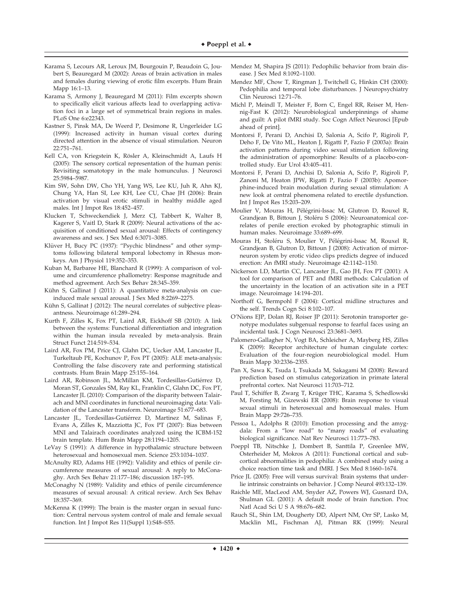- Karama S, Lecours AR, Leroux JM, Bourgouin P, Beaudoin G, Joubert S, Beauregard M (2002): Areas of brain activation in males and females during viewing of erotic film excerpts. Hum Brain Mapp 16:1–13.
- Karama S, Armony J, Beauregard M (2011): Film excerpts shown to specifically elicit various affects lead to overlapping activation foci in a large set of symmetrical brain regions in males. PLoS One 6:e22343.
- Kastner S, Pinsk MA, De Weerd P, Desimone R, Ungerleider LG (1999): Increased activity in human visual cortex during directed attention in the absence of visual stimulation. Neuron 22:751–761.
- Kell CA, von Kriegstein K, Rösler A, Kleinschmidt A, Laufs H (2005): The sensory cortical representation of the human penis: Revisiting somatotopy in the male homunculus. J Neurosci 25:5984–5987.
- Kim SW, Sohn DW, Cho YH, Yang WS, Lee KU, Juh R, Ahn KJ, Chung YA, Han SI, Lee KH, Lee CU, Chae JH (2006): Brain activation by visual erotic stimuli in healthy middle aged males. Int J Impot Res 18:452–457.
- Klucken T, Schweckendiek J, Merz CJ, Tabbert K, Walter B, Kagerer S, Vaitl D, Stark R (2009): Neural activations of the acquisition of conditioned sexual arousal: Effects of contingency awareness and sex. J Sex Med 6:3071–3085.
- Klüver H, Bucy PC (1937): "Psychic blindness" and other symptoms following bilateral temporal lobectomy in Rhesus monkeys. Am J Physiol 119:352–353.
- Kuban M, Barbaree HE, Blanchard R (1999): A comparison of volume and circumference phallometry: Response magnitude and method agreement. Arch Sex Behav 28:345–359.
- Kühn S, Gallinat J (2011): A quantitative meta-analysis on cueinduced male sexual arousal. J Sex Med 8:2269–2275.
- Kühn S, Gallinat J (2012): The neural correlates of subjective pleasantness. Neuroimage 61:289–294.
- Kurth F, Zilles K, Fox PT, Laird AR, Eickhoff SB (2010): A link between the systems: Functional differentiation and integration within the human insula revealed by meta-analysis. Brain Struct Funct 214:519–534.
- Laird AR, Fox PM, Price CJ, Glahn DC, Uecker AM, Lancaster JL, Turkeltaub PE, Kochunov P, Fox PT (2005): ALE meta-analysis: Controlling the false discovery rate and performing statistical contrasts. Hum Brain Mapp 25:155–164.
- Laird AR, Robinson JL, McMillan KM, Tordesillas-Gutiérrez D, Moran ST, Gonzales SM, Ray KL, Franklin C, Glahn DC, Fox PT, Lancaster JL (2010): Comparison of the disparity between Talairach and MNI coordinates in functional neuroimaging data: Validation of the Lancaster transform. Neuroimage 51:677–683.
- Lancaster JL, Tordesillas-Gutiérrez D, Martinez M, Salinas F, Evans A, Zilles K, Mazziotta JC, Fox PT (2007): Bias between MNI and Talairach coordinates analyzed using the ICBM-152 brain template. Hum Brain Mapp 28:1194–1205.
- LeVay S (1991): A difference in hypothalamic structure between heterosexual and homosexual men. Science 253:1034–1037.
- McAnulty RD, Adams HE (1992): Validity and ethics of penile circumference measures of sexual arousal: A reply to McConaghy. Arch Sex Behav 21:177–186; discussion 187–195.
- McConaghy N (1989): Validity and ethics of penile circumference measures of sexual arousal: A critical review. Arch Sex Behav 18:357–369.
- McKenna K (1999): The brain is the master organ in sexual function: Central nervous system control of male and female sexual function. Int J Impot Res 11(Suppl 1):S48–S55.
- Mendez M, Shapira JS (2011): Pedophilic behavior from brain disease. J Sex Med 8:1092–1100.
- Mendez MF, Chow T, Ringman J, Twitchell G, Hinkin CH (2000): Pedophilia and temporal lobe disturbances. J Neuropsychiatry Clin Neurosci 12:71–76.
- Michl P, Meindl T, Meister F, Born C, Engel RR, Reiser M, Hennig-Fast K (2012): Neurobiological underpinnings of shame and guilt: A pilot fMRI study. Soc Cogn Affect Neurosci [Epub ahead of print].
- Montorsi F, Perani D, Anchisi D, Salonia A, Scifo P, Rigiroli P, Deho F, De Vito ML, Heaton J, Rigatti P, Fazio F (2003a): Brain activation patterns during video sexual stimulation following the administration of apomorphine: Results of a placebo-controlled study. Eur Urol 43:405–411.
- Montorsi F, Perani D, Anchisi D, Salonia A, Scifo P, Rigiroli P, Zanoni M, Heaton JPW, Rigatti P, Fazio F (2003b): Apomorphine-induced brain modulation during sexual stimulation: A new look at central phenomena related to erectile dysfunction. Int J Impot Res 15:203–209.
- Moulier V, Mouras H, Pélégrini-Issac M, Glutron D, Rouxel R, Grandjean B, Bittoun J, Stoléru S (2006): Neuroanatomical correlates of penile erection evoked by photographic stimuli in human males. Neuroimage 33:689–699.
- Mouras H, Stoléru S, Moulier V, Pélégrini-Issac M, Rouxel R, Grandjean B, Glutron D, Bittoun J (2008): Activation of mirrorneuron system by erotic video clips predicts degree of induced erection: An fMRI study. Neuroimage 42:1142–1150.
- Nickerson LD, Martin CC, Lancaster JL, Gao JH, Fox PT (2001): A tool for comparison of PET and fMRI methods: Calculation of the uncertainty in the location of an activation site in a PET image. Neuroimage 14:194–201.
- Northoff G, Bermpohl F (2004): Cortical midline structures and the self. Trends Cogn Sci 8:102–107.
- O'Nions EJP, Dolan RJ, Roiser JP (2011): Serotonin transporter genotype modulates subgenual response to fearful faces using an incidental task. J Cogn Neurosci 23:3681–3693.
- Palomero-Gallagher N, Vogt BA, Schleicher A, Mayberg HS, Zilles K (2009): Receptor architecture of human cingulate cortex: Evaluation of the four-region neurobiological model. Hum Brain Mapp 30:2336–2355.
- Pan X, Sawa K, Tsuda I, Tsukada M, Sakagami M (2008): Reward prediction based on stimulus categorization in primate lateral prefrontal cortex. Nat Neurosci 11:703–712.
- Paul T, Schiffer B, Zwarg T, Krüger THC, Karama S, Schedlowski M, Forsting M, Gizewski ER (2008): Brain response to visual sexual stimuli in heterosexual and homosexual males. Hum Brain Mapp 29:726–735.
- Pessoa L, Adolphs R (2010): Emotion processing and the amygdala: From a ''low road'' to ''many roads'' of evaluating biological significance. Nat Rev Neurosci 11:773–783.
- Poeppl TB, Nitschke J, Dombert B, Santtila P, Greenlee MW, Osterheider M, Mokros A (2011): Functional cortical and subcortical abnormalities in pedophilia: A combined study using a choice reaction time task and fMRI. J Sex Med 8:1660–1674.
- Price JL (2005): Free will versus survival: Brain systems that underlie intrinsic constraints on behavior. J Comp Neurol 493:132–139.
- Raichle ME, MacLeod AM, Snyder AZ, Powers WJ, Gusnard DA, Shulman GL (2001): A default mode of brain function. Proc Natl Acad Sci U S A 98:676–682.
- Rauch SL, Shin LM, Dougherty DD, Alpert NM, Orr SP, Lasko M, Macklin ML, Fischman AJ, Pitman RK (1999): Neural